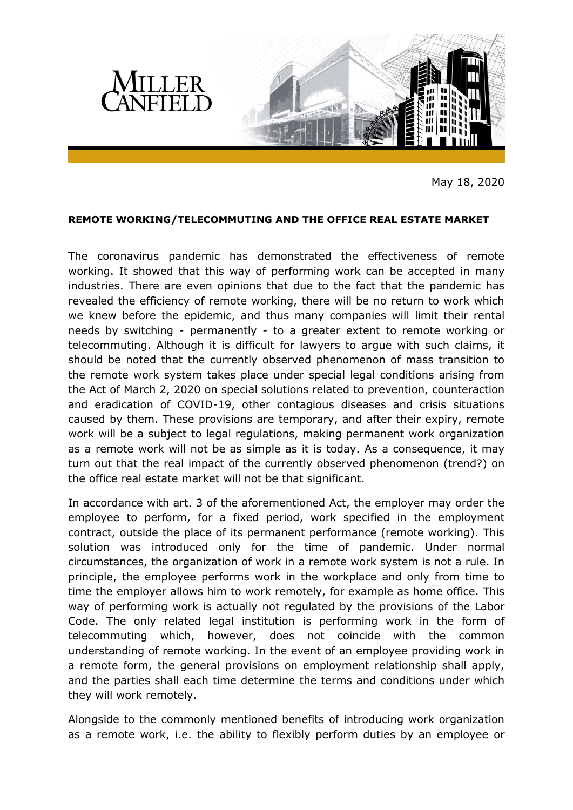

May 18, 2020

## **REMOTE WORKING/TELECOMMUTING AND THE OFFICE REAL ESTATE MARKET**

The coronavirus pandemic has demonstrated the effectiveness of remote working. It showed that this way of performing work can be accepted in many industries. There are even opinions that due to the fact that the pandemic has revealed the efficiency of remote working, there will be no return to work which we knew before the epidemic, and thus many companies will limit their rental needs by switching - permanently - to a greater extent to remote working or telecommuting. Although it is difficult for lawyers to argue with such claims, it should be noted that the currently observed phenomenon of mass transition to the remote work system takes place under special legal conditions arising from the Act of March 2, 2020 on special solutions related to prevention, counteraction and eradication of COVID-19, other contagious diseases and crisis situations caused by them. These provisions are temporary, and after their expiry, remote work will be a subject to legal regulations, making permanent work organization as a remote work will not be as simple as it is today. As a consequence, it may turn out that the real impact of the currently observed phenomenon (trend?) on the office real estate market will not be that significant.

In accordance with art. 3 of the aforementioned Act, the employer may order the employee to perform, for a fixed period, work specified in the employment contract, outside the place of its permanent performance (remote working). This solution was introduced only for the time of pandemic. Under normal circumstances, the organization of work in a remote work system is not a rule. In principle, the employee performs work in the workplace and only from time to time the employer allows him to work remotely, for example as home office. This way of performing work is actually not regulated by the provisions of the Labor Code. The only related legal institution is performing work in the form of telecommuting which, however, does not coincide with the common understanding of remote working. In the event of an employee providing work in a remote form, the general provisions on employment relationship shall apply, and the parties shall each time determine the terms and conditions under which they will work remotely.

Alongside to the commonly mentioned benefits of introducing work organization as a remote work, i.e. the ability to flexibly perform duties by an employee or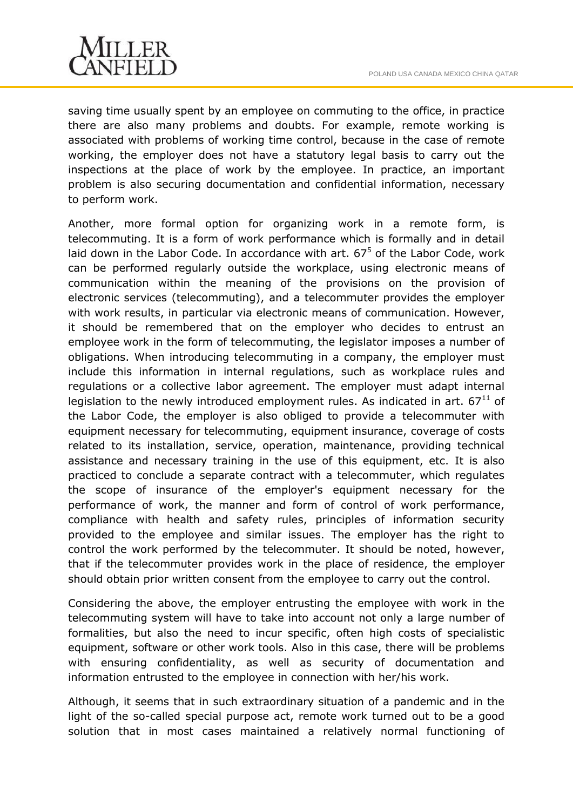

saving time usually spent by an employee on commuting to the office, in practice there are also many problems and doubts. For example, remote working is associated with problems of working time control, because in the case of remote working, the employer does not have a statutory legal basis to carry out the inspections at the place of work by the employee. In practice, an important problem is also securing documentation and confidential information, necessary to perform work.

Another, more formal option for organizing work in a remote form, is telecommuting. It is a form of work performance which is formally and in detail laid down in the Labor Code. In accordance with art.  $67<sup>5</sup>$  of the Labor Code, work can be performed regularly outside the workplace, using electronic means of communication within the meaning of the provisions on the provision of electronic services (telecommuting), and a telecommuter provides the employer with work results, in particular via electronic means of communication. However, it should be remembered that on the employer who decides to entrust an employee work in the form of telecommuting, the legislator imposes a number of obligations. When introducing telecommuting in a company, the employer must include this information in internal regulations, such as workplace rules and regulations or a collective labor agreement. The employer must adapt internal legislation to the newly introduced employment rules. As indicated in art.  $67<sup>11</sup>$  of the Labor Code, the employer is also obliged to provide a telecommuter with equipment necessary for telecommuting, equipment insurance, coverage of costs related to its installation, service, operation, maintenance, providing technical assistance and necessary training in the use of this equipment, etc. It is also practiced to conclude a separate contract with a telecommuter, which regulates the scope of insurance of the employer's equipment necessary for the performance of work, the manner and form of control of work performance, compliance with health and safety rules, principles of information security provided to the employee and similar issues. The employer has the right to control the work performed by the telecommuter. It should be noted, however, that if the telecommuter provides work in the place of residence, the employer should obtain prior written consent from the employee to carry out the control.

Considering the above, the employer entrusting the employee with work in the telecommuting system will have to take into account not only a large number of formalities, but also the need to incur specific, often high costs of specialistic equipment, software or other work tools. Also in this case, there will be problems with ensuring confidentiality, as well as security of documentation and information entrusted to the employee in connection with her/his work.

Although, it seems that in such extraordinary situation of a pandemic and in the light of the so-called special purpose act, remote work turned out to be a good solution that in most cases maintained a relatively normal functioning of